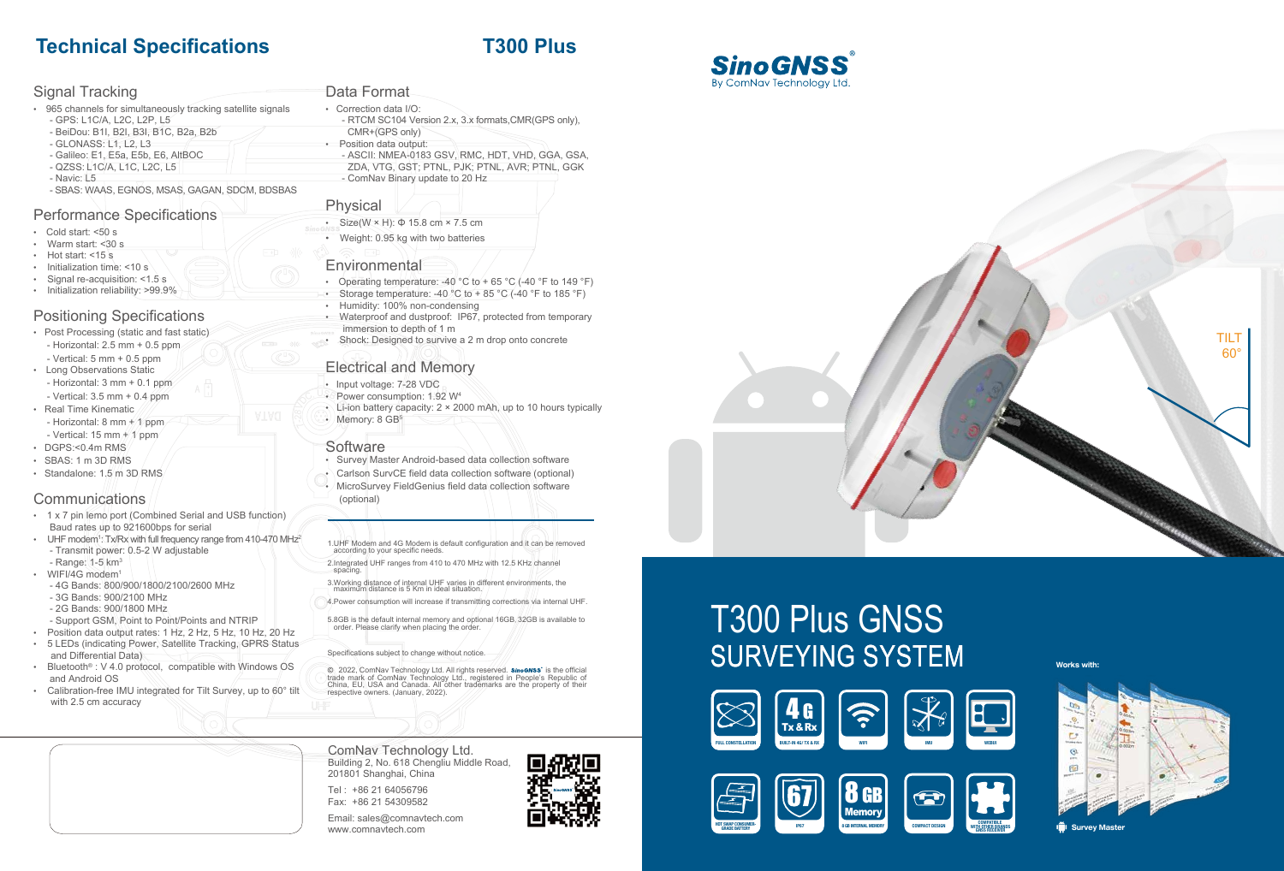

# T300 Plus GNSS SURVEYING SYSTEM **Works with:**

ComNav Technology Ltd. Building 2, No. 618 Chengliu Middle Road, 201801 Shanghai, China

Tel : +86 21 64056796 Fax: +86 21 54309582

Email: sales@comnavtech.com www.comnavtech.com



- Cold start: <50 s
- Warm start: <30 s
- Hot start: <15 s
- Initialization time: <10 s
- Signal re-acquisition: <1.5 s

# **Technical Specifications T300 Plus**

# Signal Tracking

- 965 channels for simultaneously tracking satellite signals - GPS: L1C/A, L2C, L2P, L5
- BeiDou: B1I, B2I, B3I, B1C, B2a, B2b
- GLONASS: L1, L2, L3
- Galileo: E1, E5a, E5b, E6, AltBOC
- QZSS : L1C/A, L1C, L2C, L5
- Navic: L5
- SBAS: WAAS, EGNOS, MSAS, GAGAN, SDCM, BDSBAS

- Post Processing (static and fast static)
- Horizontal: 2.5 mm + 0.5 ppm
- $-$  Vertical: 5 mm  $+$  0.5 ppm
- Long Observations Static
- Horizontal: 3 mm + 0.1 ppm
- Vertical: 3.5 mm + 0.4 ppm • Real Time Kinematic
- Horizontal: 8 mm  $+$  1 ppm
- Vertical: 15 mm  $+/1$  ppm
- DGPS:<0.4m RMS
- SBAS: 1 m 3D RMS • Standalone: 1.5 m 3D RMS

# **Communications**

# Performance Specifications

# • Initialization reliability: >99.9%

### **Positioning Specifications**

® • Size(W × H): Φ 15.8 cm × 7.5 cm

#### • Weight: 0.95 kg with two batteries

# **Environmental**

- Operating temperature: -40 °C to + 65 °C (-40 °F to 149 °F)
- Storage temperature: -40  $^{\circ}$ C to +85  $^{\circ}$ C (-40  $^{\circ}$ F to 185  $^{\circ}$ F)
- Humidity: 100% non-condensing
- Waterproof and dustproof: IP67, protected from temporary immersion to depth of 1 m
- Shock: Designed to survive a 2 m drop onto concrete

- 1 x 7 pin lemo port (Combined Serial and USB function) Baud rates up to 921600bps for serial
- UHF modem<sup>1</sup>: Tx/Rx with full frequency range from 410-470 MHz<sup>2</sup> - Transmit power: 0.5-2 W adjustable
- Range: 1-5 km 3
- WIFI/4G modem<sup>1</sup> - 4G Bands: 800/900/1800/2100/2600 MHz
- 3G Bands: 900/2100 MHz
- 2G Bands: 900/1800 MHz
- Support GSM, Point to Point/Points and NTRIP
- Position data output rates: 1 Hz, 2 Hz, 5 Hz, 10 Hz, 20 Hz
- 5 LEDs (indicating Power, Satellite Tracking, GPRS Status
- and Differential Data)
- Bluetooth ® : V 4.0 protocol, compatible with Windows OS and Android OS
- Calibration-free IMU integrated for Tilt Survey, up to 60° tilt with 2.5 cm accuracy

©, 2022, ComNav Technology Ltd. All rights reserved. *sinoonss*' is the official<br>trade mark of ComNav Technology Ltd., registered in People's Republic of<br>China, EU, USA and Canada. All other trademarks are the property of respective owners. (January, 2022).

## Data Format

- Correction data I/O:
	- RTCM SC104 Version 2.x, 3.x formats,CMR(GPS only), CMR+(GPS only) • Position data output:
	- ASCII: NMEA-0183 GSV, RMC, HDT, VHD, GGA, GSA, ZDA, VTG, GST; PTNL, PJK; PTNL, AVR; PTNL, GGK - ComNav Binary update to 20 Hz

# Physical

# Electrical and Memory

- Input voltage: 7-28 VDC
- $\bullet$  Power consumption: 1.92 W<sup>4</sup>
- Li-ion battery capacity: 2 × 2000 mAh, up to 10 hours typically

- Survey Master Android-based data collection software
- Carlson SurvCE field data collection software (optional)
- 
- 
- MicroSurvey FieldGenius field data collection software
- (optional)

1.UHF Modem and 4G Modem is default configuration and it can be removed according to your specific needs.

2.Integrated UHF ranges from 410 to 470 MHz with 12.5 KHz channel spacing.

- 3.Working distance of internal UHF varies in different environments, the maximum distance is 5 Km in ideal situation.
- 4.Power consumption will increase if transmitting corrections via internal UHF.

5.8GB is the default internal memory and optional 16GB, 32GB is available to order. Please clarify when placing the order.

Specifications subject to change without notice.







**Survey Maste** 



 $\cdot$  Memory: 8 GB<sup>5</sup>

**Software**